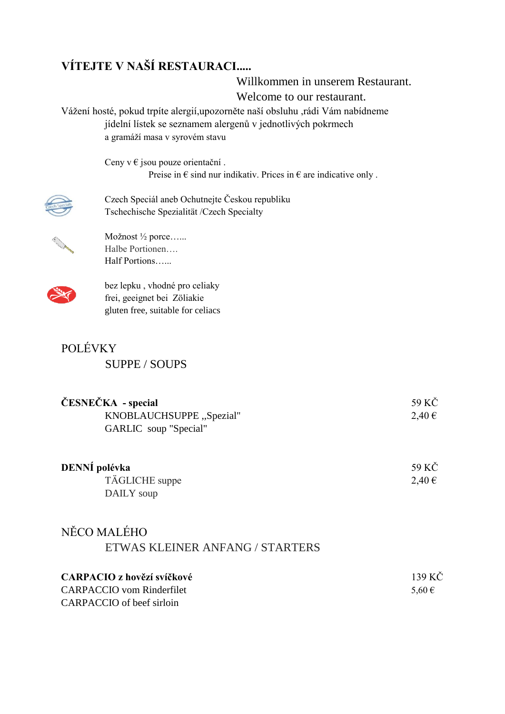# **VÍTEJTE V NAŠÍ RESTAURACI.....**

Willkommen in unserem Restaurant. Welcome to our restaurant.

Vážení hosté, pokud trpíte alergií,upozorněte naší obsluhu ,rádi Vám nabídneme jídelní lístek se seznamem alergenů v jednotlivých pokrmech a gramáží masa v syrovém stavu

> Ceny v $\epsilon$  jsou pouze orientační. Preise in  $\epsilon$  sind nur indikativ. Prices in  $\epsilon$  are indicative only.



Czech Speciál aneb Ochutnejte Českou republiku Tschechische Spezialität /Czech Specialty



Možnost ½ porce…... Halbe Portionen…. Half Portions…...



bez lepku , vhodné pro celiaky frei, geeignet bei Zöliakie gluten free, suitable for celiacs

| <b>POLÉVKY</b>       |  |
|----------------------|--|
| <b>SUPPE / SOUPS</b> |  |

| ČESNEČKA - special               | 59 KČ      |
|----------------------------------|------------|
| KNOBLAUCHSUPPE "Spezial"         | 2,40€      |
| GARLIC soup "Special"            |            |
| DENNÍ polévka                    | 59 KČ      |
| TÄGLICHE suppe                   | 2,40€      |
| DAILY soup                       |            |
| NĚCO MALÉHO                      |            |
| ETWAS KLEINER ANFANG / STARTERS  |            |
| CARPACIO z hovězí svíčkové       | 139 KČ     |
| <b>CARPACCIO</b> vom Rinderfilet | $5,60 \in$ |
| CARPACCIO of beef sirloin        |            |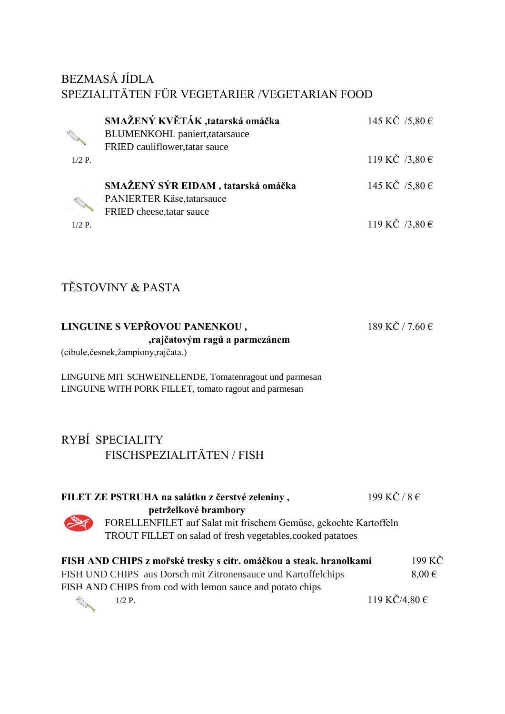### BEZMASÁ JÍDLA SPEZIALITÄTEN FÜR VEGETARIER /VEGETARIAN FOOD

|          | SMAŽENÝ KVĚTÁK, tatarská omáčka       | 145 KČ $/5,80 \in$ |
|----------|---------------------------------------|--------------------|
|          | <b>BLUMENKOHL</b> paniert, tatarsauce |                    |
|          | FRIED cauliflower, tatar sauce        |                    |
| $1/2$ P. |                                       | 119 KČ $/3,80 \in$ |
|          | SMAŽENÝ SÝR EIDAM, tatarská omáčka    | 145 KČ $/5,80 \in$ |
|          | PANIERTER Käse, tatarsauce            |                    |
|          | FRIED cheese, tatar sauce             |                    |
| $1/2$ P. |                                       | 119 KČ $/3,80 \in$ |

### TĚSTOVINY & PASTA

| LINGUINE S VEPŘOVOU PANENKOU,  | 189 KČ / 7.60 € |
|--------------------------------|-----------------|
| , rajčatovým ragů a parmezánem |                 |

(cibule,česnek,žampiony,rajčata.)

LINGUINE MIT SCHWEINELENDE, Tomatenragout und parmesan LINGUINE WITH PORK FILLET, tomato ragout and parmesan

# RYBÍ SPECIALITY FISCHSPEZIALITÄTEN / FISH

| FILET ZE PSTRUHA na salátku z čerstvé zeleniny,           |                                                                    | 199 KČ / $8 \in$  |            |
|-----------------------------------------------------------|--------------------------------------------------------------------|-------------------|------------|
| petrželkové brambory                                      |                                                                    |                   |            |
|                                                           | FORELLENFILET auf Salat mit frischem Gemüse, gekochte Kartoffeln   |                   |            |
|                                                           | TROUT FILLET on salad of fresh vegetables, cooked patatoes         |                   |            |
|                                                           |                                                                    |                   |            |
|                                                           | FISH AND CHIPS z mořské tresky s citr. omáčkou a steak. hranolkami |                   | 199 KČ     |
|                                                           | FISH UND CHIPS aus Dorsch mit Zitronensauce und Kartoffelchips     |                   | $8,00 \in$ |
| FISH AND CHIPS from cod with lemon sauce and potato chips |                                                                    |                   |            |
| $1/2$ P.                                                  |                                                                    | 119 KČ/4,80 $\in$ |            |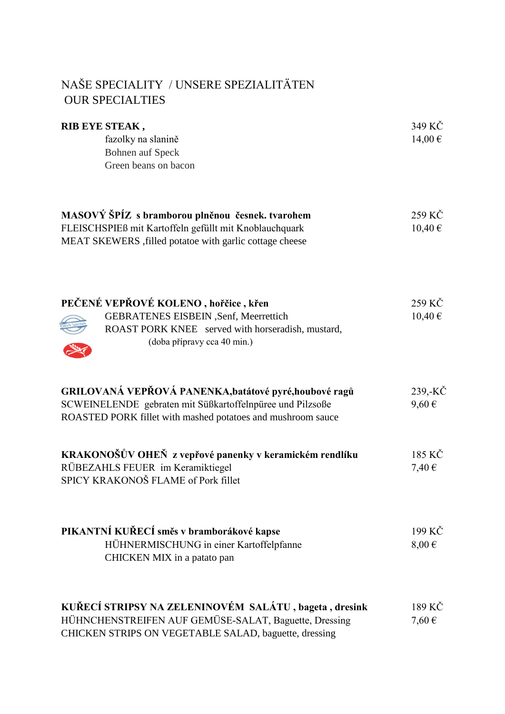## NAŠE SPECIALITY / UNSERE SPEZIALITÄTEN **OUR SPECIALTIES**

| RIB EYE STEAK,<br>fazolky na slanině<br><b>Bohnen auf Speck</b><br>Green beans on bacon                                                                                            | 349 KČ<br>14,00€      |
|------------------------------------------------------------------------------------------------------------------------------------------------------------------------------------|-----------------------|
| MASOVÝ ŠPÍZ s bramborou plněnou česnek. tvarohem<br>FLEISCHSPIEß mit Kartoffeln gefüllt mit Knoblauchquark<br>MEAT SKEWERS, filled potatoe with garlic cottage cheese              | 259 KČ<br>10,40€      |
| PEČENÉ VEPŘOVÉ KOLENO, hořčice, křen<br>GEBRATENES EISBEIN , Senf, Meerrettich<br>ROAST PORK KNEE served with horseradish, mustard,<br>(doba přípravy cca 40 min.)                 | 259 KČ<br>10,40€      |
| GRILOVANÁ VEPŘOVÁ PANENKA, batátové pyré, houbové ragů<br>SCWEINELENDE gebraten mit Süßkartoffelnpüree und Pilzsoße<br>ROASTED PORK fillet with mashed potatoes and mushroom sauce | 239,-KČ<br>$9,60 \in$ |
| KRAKONOŠŮV OHEŇ z vepřové panenky v keramickém rendlíku<br>RÜBEZAHLS FEUER im Keramiktiegel<br>SPICY KRAKONOŠ FLAME of Pork fillet                                                 | 185 KČ<br>7,40 €      |
| PIKANTNÍ KUŘECÍ směs v bramborákové kapse<br>HÜHNERMISCHUNG in einer Kartoffelpfanne<br>CHICKEN MIX in a patato pan                                                                | 199 KČ<br>$8,00 \in$  |
| KUŘECÍ STRIPSY NA ZELENINOVÉM SALÁTU, bageta, dresink<br>HÜHNCHENSTREIFEN AUF GEMÜSE-SALAT, Baguette, Dressing<br>CHICKEN STRIPS ON VEGETABLE SALAD, baguette, dressing            | 189 KČ<br>7,60€       |